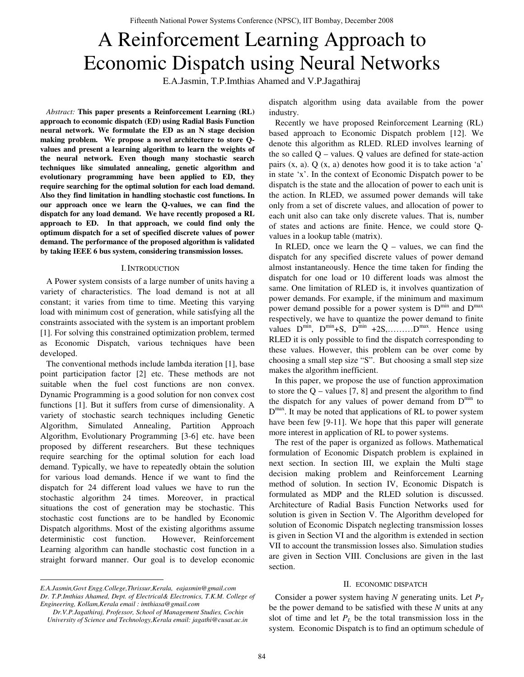# A Reinforcement Learning Approach to Economic Dispatch using Neural Networks

E.A.Jasmin, T.P.Imthias Ahamed and V.P.Jagathiraj

*Abstract:* **This paper presents a Reinforcement Learning (RL) approach to economic dispatch (ED) using Radial Basis Function neural network. We formulate the ED as an N stage decision making problem. We propose a novel architecture to store Qvalues and present a learning algorithm to learn the weights of the neural network. Even though many stochastic search techniques like simulated annealing, genetic algorithm and evolutionary programming have been applied to ED, they require searching for the optimal solution for each load demand. Also they find limitation in handling stochastic cost functions. In our approach once we learn the Q-values, we can find the dispatch for any load demand. We have recently proposed a RL approach to ED. In that approach, we could find only the optimum dispatch for a set of specified discrete values of power demand. The performance of the proposed algorithm is validated by taking IEEE 6 bus system, considering transmission losses.** 

## I. INTRODUCTION

A Power system consists of a large number of units having a variety of characteristics. The load demand is not at all constant; it varies from time to time. Meeting this varying load with minimum cost of generation, while satisfying all the constraints associated with the system is an important problem [1]. For solving this constrained optimization problem, termed as Economic Dispatch, various techniques have been developed.

The conventional methods include lambda iteration [1], base point participation factor [2] etc. These methods are not suitable when the fuel cost functions are non convex. Dynamic Programming is a good solution for non convex cost functions [1]. But it suffers from curse of dimensionality. A variety of stochastic search techniques including Genetic Algorithm, Simulated Annealing, Partition Approach Algorithm, Evolutionary Programming [3-6] etc. have been proposed by different researchers. But these techniques require searching for the optimal solution for each load demand. Typically, we have to repeatedly obtain the solution for various load demands. Hence if we want to find the dispatch for 24 different load values we have to run the stochastic algorithm 24 times. Moreover, in practical situations the cost of generation may be stochastic. This stochastic cost functions are to be handled by Economic Dispatch algorithms. Most of the existing algorithms assume deterministic cost function. However, Reinforcement Learning algorithm can handle stochastic cost function in a straight forward manner. Our goal is to develop economic

dispatch algorithm using data available from the power industry.

Recently we have proposed Reinforcement Learning (RL) based approach to Economic Dispatch problem [12]. We denote this algorithm as RLED. RLED involves learning of the so called  $Q$  – values.  $Q$  values are defined for state-action pairs (x, a). Q (x, a) denotes how good it is to take action 'a' in state 'x'. In the context of Economic Dispatch power to be dispatch is the state and the allocation of power to each unit is the action. In RLED, we assumed power demands will take only from a set of discrete values, and allocation of power to each unit also can take only discrete values. That is, number of states and actions are finite. Hence, we could store Qvalues in a lookup table (matrix).

In RLED, once we learn the  $Q$  – values, we can find the dispatch for any specified discrete values of power demand almost instantaneously. Hence the time taken for finding the dispatch for one load or 10 different loads was almost the same. One limitation of RLED is, it involves quantization of power demands. For example, if the minimum and maximum power demand possible for a power system is  $D^{mn}$  and  $D^{max}$ respectively, we have to quantize the power demand to finite values  $D^{min}$ ,  $D^{min}$ +S,  $D^{min}$  +2S,......... $D^{max}$ . Hence using RLED it is only possible to find the dispatch corresponding to these values. However, this problem can be over come by choosing a small step size "S". But choosing a small step size makes the algorithm inefficient.

In this paper, we propose the use of function approximation to store the  $Q$  – values [7, 8] and present the algorithm to find the dispatch for any values of power demand from  $D^{min}$  to  $D^{max}$ . It may be noted that applications of RL to power system have been few [9-11]. We hope that this paper will generate more interest in application of RL to power systems.

The rest of the paper is organized as follows. Mathematical formulation of Economic Dispatch problem is explained in next section. In section III, we explain the Multi stage decision making problem and Reinforcement Learning method of solution. In section IV, Economic Dispatch is formulated as MDP and the RLED solution is discussed. Architecture of Radial Basis Function Networks used for solution is given in Section V. The Algorithm developed for solution of Economic Dispatch neglecting transmission losses is given in Section VI and the algorithm is extended in section VII to account the transmission losses also. Simulation studies are given in Section VIII. Conclusions are given in the last section.

#### II. ECONOMIC DISPATCH

Consider a power system having *N* generating units. Let  $P_T$ be the power demand to be satisfied with these *N* units at any slot of time and let  $P_L$  be the total transmission loss in the system. Economic Dispatch is to find an optimum schedule of

*E.A.Jasmin,Govt Engg.College,Thrissur,Kerala, eajasmin@gmail.com Dr. T.P.Imthias Ahamed, Dept. of Electrical& Electronics, T.K.M. College of Engineering, Kollam,Kerala email : imthiasa@gmail.com* 

*Dr.V.P.Jagathiraj, Professor, School of Management Studies, Cochin University of Science and Technology,Kerala email: jagathi@cusat.ac.in*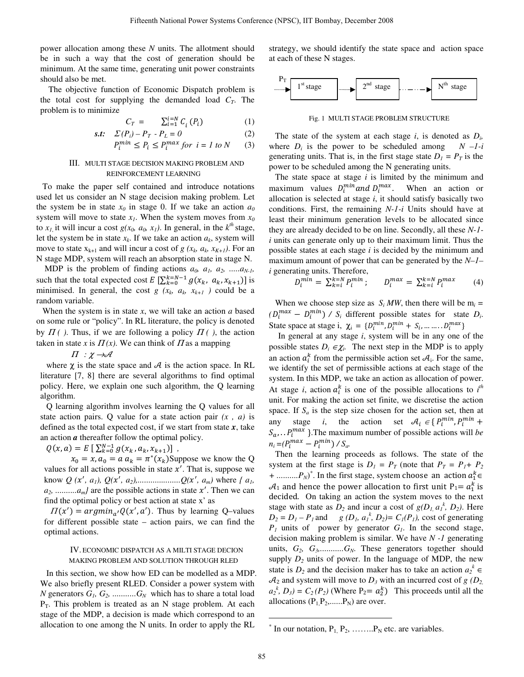power allocation among these *N* units. The allotment should be in such a way that the cost of generation should be minimum. At the same time, generating unit power constraints should also be met.

 The objective function of Economic Dispatch problem is the total cost for supplying the demanded load  $C_T$ . The problem is to minimize

$$
C_T = \sum_{i=1}^{i=N} C_i(P_i) \tag{1}
$$

$$
s.t. \quad \Sigma(P_i) - P_T - P_L = 0 \tag{2}
$$

$$
P_i^{min} \le P_i \le P_i^{max} \text{ for } i = 1 \text{ to } N \tag{3}
$$

### III. MULTI STAGE DECISION MAKING PROBLEM AND REINFORCEMENT LEARNING

To make the paper self contained and introduce notations used let us consider an N stage decision making problem. Let the system be in state  $x_0$  in stage 0. If we take an action  $a_0$ system will move to state  $x_1$ . When the system moves from  $x_0$ to  $x_l$ , it will incur a cost  $g(x_0, a_0, x_l)$ . In general, in the  $k^{th}$  stage, let the system be in state  $x_k$ . If we take an action  $a_k$ , system will move to state  $x_{k+1}$  and will incur a cost of *g* ( $x_k$ ,  $a_k$ ,  $x_{K+1}$ ). For an N stage MDP, system will reach an absorption state in stage N.

MDP is the problem of finding actions  $a_0$ ,  $a_1$ ,  $a_2$ , ..... $a_{N-1}$ , such that the total expected cost  $E\left[\sum_{k=0}^{k=N-1} g(x_k, a_k, x_{k+1})\right]$  is minimised. In general, the cost  $g(x_k, a_k, x_{k+1})$  could be a random variable.

When the system is in state *x*, we will take an action *a* based on some rule or "policy". In RL literature, the policy is denoted by  $\Pi$  ( ). Thus, if we are following a policy  $\Pi$  ( ), the action taken in state *x* is  $\Pi(x)$ . We can think of  $\Pi$  as a mapping

 $\Pi : \chi \rightarrow \mathcal{A}$ 

where  $\chi$  is the state space and  $\mathcal A$  is the action space. In RL literature [7, 8] there are several algorithms to find optimal policy. Here, we explain one such algorithm, the Q learning algorithm.

Q learning algorithm involves learning the Q values for all state action pairs. Q value for a state action pair *(x , a)* is defined as the total expected cost, if we start from state  $x$ , take an action *a* thereafter follow the optimal policy.

 $Q(x, a) = E\left[\sum_{k=0}^{N-1} g(x_k, a_k, x_{k+1})\right]$ ,

 $x_0 = x$ ,  $a_0 = a$   $a_k = \pi^*(x_k)$ Suppose we know the Q values for all actions possible in state  $x'$ . That is, suppose we know  $Q(x', a_1), Q(x', a_2), \dots, Q(x', a_m)$  where  $\{a_1, a_2, \dots, a_m\}$  $a_2$ , ..........*a<sub>m</sub>* are the possible actions in state  $x'$ . Then we can find the optimal policy or best action at state x' as

 $\Pi(x') = argmin_{a'} Q(x', a')$ . Thus by learning Q-values for different possible state – action pairs, we can find the optimal actions.

### IV. ECONOMIC DISPATCH AS A MILTI STAGE DECION MAKING PROBLEM AND SOLUTION THROUGH RLED

In this section, we show how ED can be modelled as a MDP. We also briefly present RLED. Consider a power system with *N* generators  $G_1, G_2, \ldots, G_N$  which has to share a total load  $P_T$ . This problem is treated as an N stage problem. At each stage of the MDP, a decision is made which correspond to an allocation to one among the N units. In order to apply the RL

strategy, we should identify the state space and action space at each of these N stages.



Fig. 1 MULTI STAGE PROBLEM STRUCTURE

The state of the system at each stage  $i$ , is denoted as  $D_i$ , where  $D_i$  is the power to be scheduled among  $N -1-i$ generating units. That is, in the first stage state  $D_1 = P_T$  is the power to be scheduled among the N generating units.

The state space at stage *i* is limited by the minimum and maximum values  $D_i^{min}$  and  $D_i^{max}$ . When an action or allocation is selected at stage *i*, it should satisfy basically two conditions. First, the remaining *N-1-i* Units should have at least their minimum generation levels to be allocated since they are already decided to be on line. Secondly, all these *N-1 i* units can generate only up to their maximum limit. Thus the possible states at each stage *i* is decided by the minimum and maximum amount of power that can be generated by the *N–1– i* generating units. Therefore,

$$
D_i^{min} = \sum_{k=i}^{k=N} P_i^{min}; \qquad D_i^{max} = \sum_{k=i}^{k=N} P_i^{max} \tag{4}
$$

When we choose step size as  $S_i$  *MW*, then there will be  $m_i =$  $(D_i^{max} - D_i^{min})$  /  $S_i$  different possible states for state  $D_i$ . State space at stage i,  $\chi_i = \{D_i^{min}, D_i^{min} + S_i, \dots, D_i^{max}\}\$ 

In general at any stage *i*, system will be in any one of the possible states  $D_i \in \mathcal{X}_i$ . The next step in the MDP is to apply an action  $a_i^k$  from the permissible action set  $A_i$ . For the same, we identify the set of permissible actions at each stage of the system. In this MDP, we take an action as allocation of power. At stage *i*, action  $a_i^k$  is one of the possible allocations to  $i^h$ unit. For making the action set finite, we discretise the action space. If  $S_a$  is the step size chosen for the action set, then at any stage *i*, the action set  $A_i \in \{P_i^{min}, P_i^{min} +$  $S_a$ ...  $P_i^{max}$  }. The maximum number of possible actions will *be*  $n_i = (P_i^{max} - P_i^{min}) / S_a$ .

Then the learning proceeds as follows. The state of the system at the first stage is  $D_1 = P_T$  (note that  $P_T = P_I + P_2$ + .......... $P_N$ <sup>\*</sup>. In the first stage, system choose an action  $a_1^k \in$  $\mathcal{A}_1$  and hence the power allocation to first unit  $P_1 = a_1^{\overline{k}}$  is decided. On taking an action the system moves to the next stage with state as  $D_2$  and incur a cost of  $g(D_1, a_1^k, D_2)$ . Here  $D_2 = D_1 - P_1$  and *g (D<sub>1</sub>, a<sub>1</sub><sup>k</sup>, D<sub>2</sub>)= C<sub>1</sub>(P<sub>1</sub>), cost of generating*  $P_1$  units of power by generator  $G_1$ . In the second stage, decision making problem is similar. We have *N -1* generating units,  $G_2$ ,  $G_3$ ,............. $G_N$ . These generators together should supply  $D_2$  units of power. In the language of MDP, the new state is  $D_2$  and the decision maker has to take an action  $a_2^k \in$  $\mathcal{A}_2$  and system will move to  $D_3$  with an incurred cost of *g* ( $D_2$ )  $a_2^k$ ,  $D_3$ ) =  $C_2$  ( $P_2$ ) (Where P<sub>2</sub>=  $a_2^k$ ) This proceeds until all the allocations  $(P_1, P_2, \ldots, P_N)$  are over.

 $*$  In our notation,  $P_1$ ,  $P_2$ , ........, $P_N$  etc. are variables.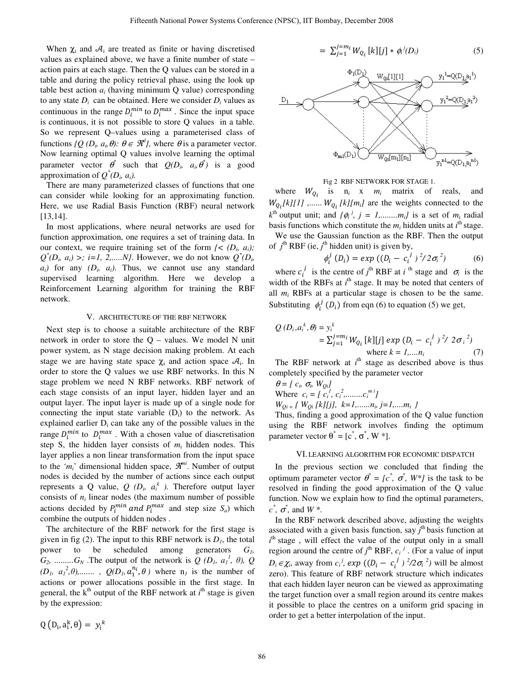When  $\chi_i$  and  $\mathcal{A}_i$  are treated as finite or having discretised values as explained above, we have a finite number of state – action pairs at each stage. Then the Q values can be stored in a table and during the policy retrieval phase, using the look up table best action *ai* (having minimum Q value) corresponding to any state  $D_i$  can be obtained. Here we consider  $D_i$  values as continuous in the range  $D_i^{min}$  to  $D_i^{max}$ . Since the input space is continuous, it is not possible to store Q values in a table. So we represent Q–values using a parameterised class of functions  $\{Q(D_i, a_i, \theta): \theta \in \mathcal{R}^d\}$ , where  $\theta$  is a parameter vector. Now learning optimal Q values involve learning the optimal parameter vector  $\theta^*$  such that  $Q(D_i, a_i, \theta^*)$  is a good approximation of  $Q^*(D_i, a_i)$ .

There are many parameterized classes of functions that one can consider while looking for an approximating function. Here, we use Radial Basis Function (RBF) neural network [13,14].

In most applications, where neural networks are used for function approximation, one requires a set of training data. In our context, we require training set of the form  $\zeta$  ( $D_i$ ,  $a_i$ );  $Q^*(D_i, a_i)$  >; *i*=1, 2,.....*N*}. However, we do not know  $Q^*(D_i, a_i)$  $a_i$ ) for any  $(D_i, a_i)$ . Thus, we cannot use any standard supervised learning algorithm. Here we develop a Reinforcement Learning algorithm for training the RBF network.

#### V. ARCHITECTURE OF THE RBF NETWORK

Next step is to choose a suitable architecture of the RBF network in order to store the  $Q$  – values. We model N unit power system, as N stage decision making problem. At each stage we are having state space  $\chi_i$  and action space  $A_i$ . In order to store the Q values we use RBF networks. In this N stage problem we need N RBF networks. RBF network of each stage consists of an input layer, hidden layer and an output layer. The input layer is made up of a single node for connecting the input state variable  $(D_i)$  to the network. As explained earlier  $D_i$  can take any of the possible values in the range  $D_i^{min}$  to  $D_i^{max}$ . With a chosen value of diascretisation step S, the hidden layer consists of  $m_i$  hidden nodes. This layer applies a non linear transformation from the input space to the ' $m_i$ ' dimensional hidden space,  $\mathcal{R}^{m_i}$ . Number of output nodes is decided by the number of actions since each output represents a Q value,  $Q(D_i, a_i^k)$ . Therefore output layer consists of  $n_i$  linear nodes (the maximum number of possible actions decided by  $P_i^{min}$  and  $P_i^{max}$  and step size  $S_a$ ) which combine the outputs of hidden nodes .

The architecture of the RBF network for the first stage is given in fig (2). The input to this RBF network is  $D<sub>l</sub>$ , the total power to be scheduled among generators *G1,*   $G_2$ , ......... $G_N$ . The output of the network is  $Q$  ( $D_1$ ,  $a_1^1$ ,  $\theta$ ),  $Q$  $(D_1, a_1^2, \theta)$ ,  $\ldots$ ,  $Q(D_1, a_1^{n_i}, \theta)$  where  $n_i$  is the number of actions or power allocations possible in the first stage. In general, the  $k^{th}$  output of the RBF network at  $i^{th}$  stage is given by the expression:

$$
= \sum_{j=1}^{j=m_i} W_{Q_i} [k][j] * \phi_i^{j}(D_i)
$$
 (5)



#### Fig 2 RBF NETWORK FOR STAGE 1.

where  $W_{Q_i}$  is  $n_i \times m_i$  matrix of reals, and  $W_{Q_i}[k][1]$ ,.......  $W_{Q_i}[k][m_i]$  are the weights connected to the  $k^{\text{th}}$  output unit; and  $\{\phi_i^j, j = 1, \dots, m_i\}$  is a set of  $m_i$  radial basis functions which constitute the  $m_i$  hidden units at  $i^{\text{th}}$  stage.

We use the Gaussian function as the RBF. Then the output of  $j^{\text{th}}$  RBF (ie,  $j^{\text{th}}$  hidden unit) is given by,

$$
\phi_i^j (D_i) = exp ((D_i - c_i^j)^2 / 2\sigma_i^2)
$$
 (6)

where  $c_i^j$  is the centre of  $j^{\text{th}}$  RBF at *i*<sup>th</sup> stage and  $\sigma_i$  is the width of the RBFs at  $i<sup>th</sup>$  stage. It may be noted that centers of all *mi* RBFs at a particular stage is chosen to be the same. Substituting  $\phi_i^j$  (*D*<sub>i</sub>) from eqn (6) to equation (5) we get,

$$
Q(D_i, a_i^k, \theta) = y_i^k
$$
  
=  $\sum_{j=1}^j i^{m_i} W_{Q_i} [k][j] \exp (D_i - c_i^j)^2 / 2\sigma_i^2$   
where  $k = 1,...n_i$  (7)

The RBF network at  $i<sup>th</sup>$  stage as described above is thus completely specified by the parameter vector

 $\theta = [c_i, \sigma_i, W_{Qi}]$ Where  $c_i = \int c_i^1, c_i^2, \dots, c_i^m{}^i$ 

 $W_{Qi} = \{ W_{Qi} [k][j], k=1, \ldots, n_i, j=1, \ldots, m_i \}$ 

Thus, finding a good approximation of the Q value function using the RBF network involves finding the optimum parameter vector  $\theta^* = [c^*, \sigma^*, W^*]$ .

#### VI. LEARNING ALGORITHM FOR ECONOMIC DISPATCH

In the previous section we concluded that finding the optimum parameter vector  $\theta^* = [c^*, \sigma^*, W^*]$  is the task to be resolved in finding the good approximation of the Q value function. Now we explain how to find the optimal parameters,  $c^*$ *,*  $\sigma^*$ *,* and  $W^*$ .

In the RBF network described above, adjusting the weights associated with a given basis function, say *j* th basis function at *i*<sup>th</sup> stage, will effect the value of the output only in a small region around the centre of  $j^{\text{th}}$  RBF,  $c_i^j$ . (For a value of input  $D_i \in \chi_i$ , away from  $c_i^j$ ,  $exp((D_i - c_i^j))^2/2\sigma_i^2)$  will be almost zero). This feature of RBF network structure which indicates that each hidden layer neuron can be viewed as approximating the target function over a small region around its centre makes it possible to place the centres on a uniform grid spacing in order to get a better interpolation of the input.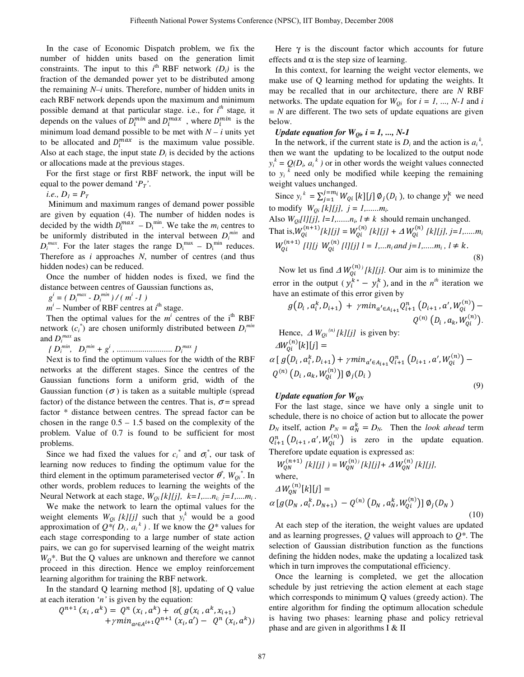In the case of Economic Dispatch problem, we fix the number of hidden units based on the generation limit constraints. The input to this  $i^{\text{th}}$  RBF network  $(D_i)$  is the fraction of the demanded power yet to be distributed among the remaining *N–i* units. Therefore, number of hidden units in each RBF network depends upon the maximum and minimum possible demand at that particular stage. i.e., for *i th* stage*,* it depends on the values of  $D_i^{min}$  and  $D_i^{max}$ , where  $D_i^{min}$  is the minimum load demand possible to be met with  $N - i$  units yet to be allocated and  $D_i^{max}$  is the maximum value possible. Also at each stage, the input state  $D_i$  is decided by the actions or allocations made at the previous stages.

For the first stage or first RBF network, the input will be equal to the power demand '*PT'*.

*i.e.,*  $D_1 = P_T$ 

Minimum and maximum ranges of demand power possible are given by equation (4). The number of hidden nodes is decided by the width  $D_i^{max} - D_i^{min}$ . We take the  $m_i$  centres to be uniformly distributed in the interval between  $D_i^{min}$  and  $D_i^{max}$ . For the later stages the range  $D_i^{max} - D_i^{min}$  reduces. Therefore as *i* approaches *N*, number of centres (and thus hidden nodes) can be reduced.

Once the number of hidden nodes is fixed, we find the distance between centres of Gaussian functions as,

 $g^{i} = (D_{i}^{max} - D_{i}^{min}) / (m^{i} - 1)$ 

 $m^i$  – Number of RBF centres at  $i^{\text{th}}$  stage.

Then the optimal values for the  $m^i$  centres of the i<sup>th</sup> RBF network  $(c_i^*)$  are chosen uniformly distributed between  $D_i^{min}$ and *Di max* as

 *{ Di min, Di min + gi , .......................... Di max }* 

Next is to find the optimum values for the width of the RBF networks at the different stages. Since the centres of the Gaussian functions form a uniform grid, width of the Gaussian function  $(\sigma)$  is taken as a suitable multiple (spread factor) of the distance between the centres. That is,  $\sigma$  = spread factor \* distance between centres. The spread factor can be chosen in the range  $0.5 - 1.5$  based on the complexity of the problem. Value of 0.7 is found to be sufficient for most problems.

Since we had fixed the values for  $c_i^*$  and  $\sigma_i^*$ , our task of learning now reduces to finding the optimum value for the third element in the optimum parameterised vector  $\theta^*$ ,  $W_{Qi}^*$ . In other words, problem reduces to learning the weights of the Neural Network at each stage,  $W_{oi}[k][j]$ ,  $k=1,...,n_i$ ;  $j=1,...,m_i$ .

We make the network to learn the optimal values for the weight elements  $W_{Qi}$  [k][j] such that  $y_i^k$  would be a good approximation of  $Q^*(D_i, a_i^k)$ . If we know the  $Q^*$  values for each stage corresponding to a large number of state action pairs, we can go for supervised learning of the weight matrix  $W_0^*$ . But the Q values are unknown and therefore we cannot proceed in this direction. Hence we employ reinforcement learning algorithm for training the RBF network.

In the standard Q learning method [8], updating of Q value at each iteration '*n'* is given by the equation:

$$
Q^{n+1}(x_i, a^k) = Q^n(x_i, a^k) + \alpha(g(x_i, a^k, x_{i+1}) + \gamma min_{a \in A^{i+1}} Q^{n+1}(x_i, a^{\prime}) - Q^n(x_i, a^k))
$$

Here  $\gamma$  is the discount factor which accounts for future effects and  $\alpha$  is the step size of learning.

In this context, for learning the weight vector elements, we make use of Q learning method for updating the weights. It may be recalled that in our architecture, there are *N* RBF networks. The update equation for  $W_{0i}$  for  $i = 1, ..., N-1$  and *i = N* are different. The two sets of update equations are given below.

*Update equation for*  $W_{0i}$ ,  $i = 1, ..., N-1$ 

In the network, if the current state is  $D_i$  and the action is  $a_i^k$ , then we want the updating to be localized to the output node  $y_i^k = Q(D_i, a_i^k)$  or in other words the weight values connected to  $y_i^k$  need only be modified while keeping the remaining weight values unchanged.

Since  $y_i^k = \sum_{j=1}^{j=m_i} W_{Qi} [k][j] \phi_j(D_i)$ , to change  $y_i^k$  we need to modify  $W_{0i}$  [k][j],  $j = 1, \dots, m_i$ .

Also  $W_{Qi}[1][j], l=1, \ldots, n_i, l \neq k$  should remain unchanged. That is,  $W_{0i}^{(n+1)}[kl][j] = W_{0i}^{(n)}[kl][j] + \Delta W_{0i}^{(n)}[kl][j], j = 1, \dots, m_i$  $W_{0i}^{(n+1)}$  [*l*][*j*  $W_{0i}^{(n)}$  [*l*][*j*]  $l = 1,...n_i$  and  $j = 1,...,m_i$ ,  $l \neq k$ . (8)

Now let us find  $\Delta W_{0i}^{(n)}$  [k][j]. Our aim is to minimize the error in the output ( $y_i^{k*} - y_i^k$ ), and in the  $n^{th}$  iteration we have an estimate of this error given by

$$
g(D_i, a_i^k, D_{i+1}) + \gamma min_{a' \in A_{i+1}} Q_{i+1}^n (D_{i+1}, a', W_{Qi}^{(n)}) -
$$
  
 
$$
Q^{(n)}(D_i, a_k, W_{Qi}^{(n)}).
$$

Hence, 
$$
\Delta W_{Qi}^{(n)}[k][j]
$$
 is given by:  
\n
$$
\Delta W_{Qi}^{(n)}[k][j] = \alpha [g(D_i, a_i^k, D_{i+1}) + \gamma min_{a' \in A_{i+1}} Q_{i+1}^n (D_{i+1}, a', W_{Qi}^{(n)}) - Q^{(n)} (D_i, a_k, W_{Qi}^{(n)})] \emptyset_j(D_i)
$$
\n(9)

## *Update equation for W<sub>ON</sub>*

For the last stage, since we have only a single unit to schedule, there is no choice of action but to allocate the power  $D_N$  itself, action  $P_N = a_N^k = D_N$ . Then the *look ahead* term  $Q_{i+1}^n(D_{i+1}, a', W_{0i}^{(n)})$  is zero in the update equation. Therefore update equation is expressed as:

$$
W_{QN}^{(n+1)} [k][j] ) = W_{QN}^{(n)} [k][j] + \Delta W_{QN}^{(n)} [k][j],
$$
  
where,  

$$
\Delta W_{QN}^{(n)} [k][j] =
$$
  

$$
\alpha [g(D_N, a_i^k, D_{N+1}) - Q^{(n)} (D_N, a_N^k, W_{Qi}^{(n)})] \emptyset_j (D_N)
$$
 (10)

At each step of the iteration, the weight values are updated and as learning progresses, *Q* values will approach to *Q\**. The selection of Gaussian distribution function as the functions defining the hidden nodes, make the updating a localized task which in turn improves the computational efficiency.

Once the learning is completed, we get the allocation schedule by just retrieving the action element at each stage which corresponds to minimum Q values (greedy action). The entire algorithm for finding the optimum allocation schedule is having two phases: learning phase and policy retrieval phase and are given in algorithms I & II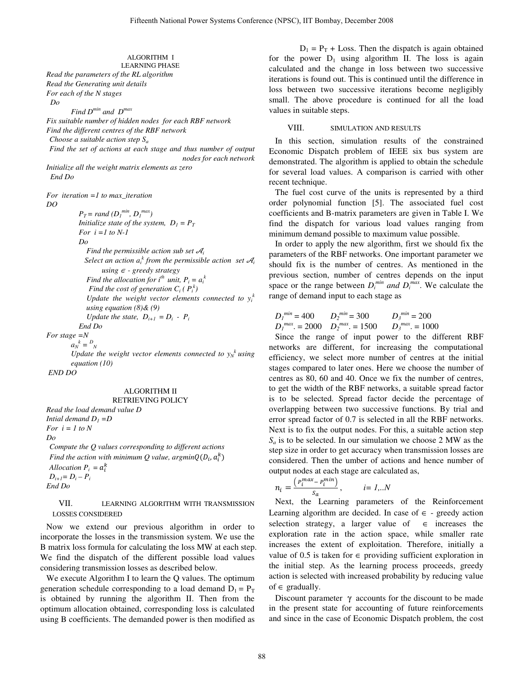#### ALGORITHM I LEARNING PHASE

*Read the parameters of the RL algorithm Read the Generating unit details For each of the N stages Do* 

 *Find Dmin and Dmax*

*Fix suitable number of hidden nodes for each RBF network Find the different centres of the RBF network Choose a suitable action step Sa Find the set of actions at each stage and thus number of output nodes for each network Initialize all the weight matrix elements as zero* 

 *End Do* 

*For iteration =1 to max\_iteration* 

*DO* 

 $P_T = rand (D_1^{min}, D_1^{max})$ *Initialize state of the system,*  $D_1 = P_T$  *For i =1 to N-1 Do Find the permissible action sub set*  $\mathcal{A}_i$ *Select an action*  $a_i^k$  *from the permissible action set*  $\mathcal{A}_i$ *using* ∈ *- greedy strategy Find the allocation for i*<sup>th</sup> unit,  $P_i = a_i^k$ *Find the cost of generation*  $C_i$  ( $P_i^k$ ) Update the weight vector elements connected to  $y_i^k$ *using equation (8)& (9) Update the state,*  $D_{i+1} = D_i - P_i$  *End Do* 

*For stage =N* 

```
a_N^k = D_N^k
```
*Update the weight vector elements connected to*  $y_N^k$  *using equation (10)* 

 *END DO* 

## ALGORITHM II

#### RETRIEVING POLICY

*Read the load demand value D Intial demand*  $D_1 = D$ *For*  $i = 1$  to N *Do* 

*Compute the Q values corresponding to different actions Find the action with minimum Q value, argmin* $Q(D_i, a_i^k)$ *Allocation*  $P_i = a_i^k$  $D_{i+1}= D_i - P_i$ *End Do* 

## VII. LEARNING ALGORITHM WITH TRANSMISSION LOSSES CONSIDERED

Now we extend our previous algorithm in order to incorporate the losses in the transmission system. We use the B matrix loss formula for calculating the loss MW at each step. We find the dispatch of the different possible load values considering transmission losses as described below.

We execute Algorithm I to learn the Q values. The optimum generation schedule corresponding to a load demand  $D_1 = P_T$ is obtained by running the algorithm II. Then from the optimum allocation obtained, corresponding loss is calculated using B coefficients. The demanded power is then modified as

 $D_1 = P_T + Loss$ . Then the dispatch is again obtained for the power  $D_1$  using algorithm II. The loss is again calculated and the change in loss between two successive iterations is found out. This is continued until the difference in loss between two successive iterations become negligibly small. The above procedure is continued for all the load values in suitable steps.

## VIII. SIMULATION AND RESULTS

In this section, simulation results of the constrained Economic Dispatch problem of IEEE six bus system are demonstrated. The algorithm is applied to obtain the schedule for several load values. A comparison is carried with other recent technique.

The fuel cost curve of the units is represented by a third order polynomial function [5]. The associated fuel cost coefficients and B-matrix parameters are given in Table I. We find the dispatch for various load values ranging from minimum demand possible to maximum value possible.

In order to apply the new algorithm, first we should fix the parameters of the RBF networks. One important parameter we should fix is the number of centres. As mentioned in the previous section, number of centres depends on the input space or the range between  $D_i^{min}$  and  $D_i^{max}$ . We calculate the range of demand input to each stage as

$$
D_1^{min} = 400 \t D_2^{min} = 300 \t D_3^{min} = 200
$$
  

$$
D_1^{max} = 2000 \t D_2^{max} = 1500 \t D_3^{max} = 1000
$$

Since the range of input power to the different RBF networks are different, for increasing the computational efficiency, we select more number of centres at the initial stages compared to later ones. Here we choose the number of centres as 80, 60 and 40. Once we fix the number of centres, to get the width of the RBF networks, a suitable spread factor is to be selected. Spread factor decide the percentage of overlapping between two successive functions. By trial and error spread factor of 0.7 is selected in all the RBF networks. Next is to fix the output nodes. For this, a suitable action step  $S_a$  is to be selected. In our simulation we choose 2 MW as the step size in order to get accuracy when transmission losses are considered. Then the umber of actions and hence number of output nodes at each stage are calculated as,

$$
n_i = \frac{\left(P_i^{max} - P_i^{min}\right)}{s_a}, \qquad i = 1...N
$$

Next, the Learning parameters of the Reinforcement Learning algorithm are decided. In case of  $\epsilon$  - greedy action selection strategy, a larger value of  $\in$  increases the exploration rate in the action space, while smaller rate increases the extent of exploitation. Therefore, initially a value of 0.5 is taken for  $∈$  providing sufficient exploration in the initial step. As the learning process proceeds, greedy action is selected with increased probability by reducing value of  $\in$  gradually.

Discount parameter  $\gamma$  accounts for the discount to be made in the present state for accounting of future reinforcements and since in the case of Economic Dispatch problem, the cost